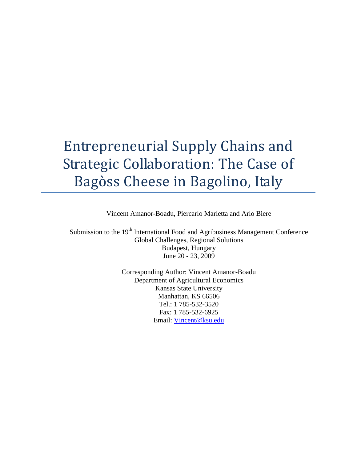# Entrepreneurial Supply Chains and Strategic Collaboration: The Case of Bagòss Cheese in Bagolino, Italy

Vincent Amanor-Boadu, Piercarlo Marletta and Arlo Biere

Submission to the 19<sup>th</sup> International Food and Agribusiness Management Conference Global Challenges, Regional Solutions Budapest, Hungary June 20 - 23, 2009

> Corresponding Author: Vincent Amanor-Boadu Department of Agricultural Economics Kansas State University Manhattan, KS 66506 Tel.: 1 785-532-3520 Fax: 1 785-532-6925 Email: Vincent@ksu.edu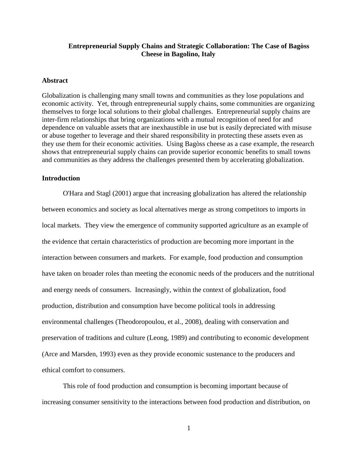#### **Entrepreneurial Supply Chains and Strategic Collaboration: The Case of Bagòss Cheese in Bagolino, Italy**

#### **Abstract**

Globalization is challenging many small towns and communities as they lose populations and economic activity. Yet, through entrepreneurial supply chains, some communities are organizing themselves to forge local solutions to their global challenges. Entrepreneurial supply chains are inter-firm relationships that bring organizations with a mutual recognition of need for and dependence on valuable assets that are inexhaustible in use but is easily depreciated with misuse or abuse together to leverage and their shared responsibility in protecting these assets even as they use them for their economic activities. Using Bagòss cheese as a case example, the research shows that entrepreneurial supply chains can provide superior economic benefits to small towns and communities as they address the challenges presented them by accelerating globalization.

#### **Introduction**

O'Hara and Stagl (2001) argue that increasing globalization has altered the relationship between economics and society as local alternatives merge as strong competitors to imports in local markets. They view the emergence of community supported agriculture as an example of the evidence that certain characteristics of production are becoming more important in the interaction between consumers and markets. For example, food production and consumption have taken on broader roles than meeting the economic needs of the producers and the nutritional and energy needs of consumers. Increasingly, within the context of globalization, food production, distribution and consumption have become political tools in addressing environmental challenges (Theodoropoulou, et al., 2008), dealing with conservation and preservation of traditions and culture (Leong, 1989) and contributing to economic development (Arce and Marsden, 1993) even as they provide economic sustenance to the producers and ethical comfort to consumers.

This role of food production and consumption is becoming important because of increasing consumer sensitivity to the interactions between food production and distribution, on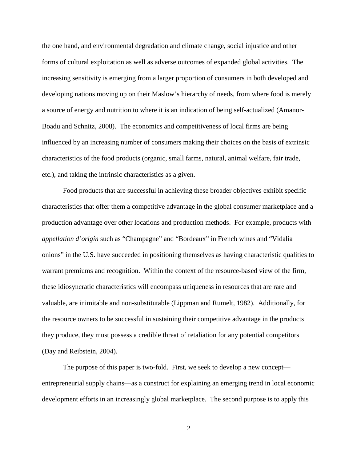the one hand, and environmental degradation and climate change, social injustice and other forms of cultural exploitation as well as adverse outcomes of expanded global activities. The increasing sensitivity is emerging from a larger proportion of consumers in both developed and developing nations moving up on their Maslow's hierarchy of needs, from where food is merely a source of energy and nutrition to where it is an indication of being self-actualized (Amanor-Boadu and Schnitz, 2008). The economics and competitiveness of local firms are being influenced by an increasing number of consumers making their choices on the basis of extrinsic characteristics of the food products (organic, small farms, natural, animal welfare, fair trade, etc.), and taking the intrinsic characteristics as a given.

Food products that are successful in achieving these broader objectives exhibit specific characteristics that offer them a competitive advantage in the global consumer marketplace and a production advantage over other locations and production methods. For example, products with *appellation d'origin* such as "Champagne" and "Bordeaux" in French wines and "Vidalia onions" in the U.S. have succeeded in positioning themselves as having characteristic qualities to warrant premiums and recognition. Within the context of the resource-based view of the firm, these idiosyncratic characteristics will encompass uniqueness in resources that are rare and valuable, are inimitable and non-substitutable (Lippman and Rumelt, 1982). Additionally, for the resource owners to be successful in sustaining their competitive advantage in the products they produce, they must possess a credible threat of retaliation for any potential competitors (Day and Reibstein, 2004).

The purpose of this paper is two-fold. First, we seek to develop a new concept entrepreneurial supply chains—as a construct for explaining an emerging trend in local economic development efforts in an increasingly global marketplace. The second purpose is to apply this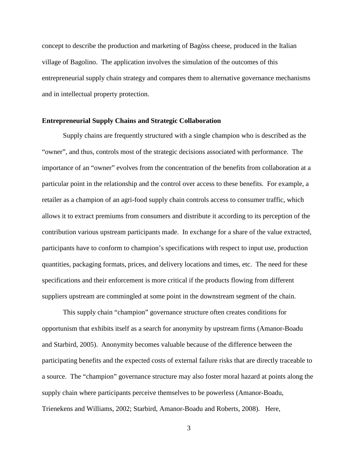concept to describe the production and marketing of Bagòss cheese, produced in the Italian village of Bagolino. The application involves the simulation of the outcomes of this entrepreneurial supply chain strategy and compares them to alternative governance mechanisms and in intellectual property protection.

#### **Entrepreneurial Supply Chains and Strategic Collaboration**

Supply chains are frequently structured with a single champion who is described as the "owner", and thus, controls most of the strategic decisions associated with performance. The importance of an "owner" evolves from the concentration of the benefits from collaboration at a particular point in the relationship and the control over access to these benefits. For example, a retailer as a champion of an agri-food supply chain controls access to consumer traffic, which allows it to extract premiums from consumers and distribute it according to its perception of the contribution various upstream participants made. In exchange for a share of the value extracted, participants have to conform to champion's specifications with respect to input use, production quantities, packaging formats, prices, and delivery locations and times, etc. The need for these specifications and their enforcement is more critical if the products flowing from different suppliers upstream are commingled at some point in the downstream segment of the chain.

This supply chain "champion" governance structure often creates conditions for opportunism that exhibits itself as a search for anonymity by upstream firms (Amanor-Boadu and Starbird, 2005). Anonymity becomes valuable because of the difference between the participating benefits and the expected costs of external failure risks that are directly traceable to a source. The "champion" governance structure may also foster moral hazard at points along the supply chain where participants perceive themselves to be powerless (Amanor-Boadu, Trienekens and Williams, 2002; Starbird, Amanor-Boadu and Roberts, 2008). Here,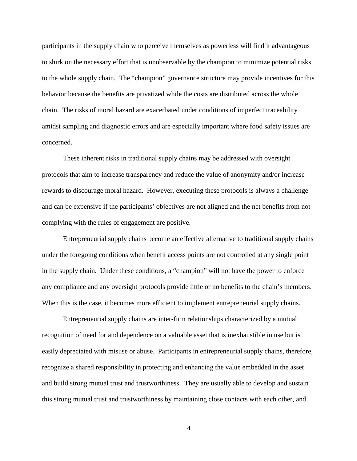participants in the supply chain who perceive themselves as powerless will find it advantageous to shirk on the necessary effort that is unobservable by the champion to minimize potential risks to the whole supply chain. The "champion" governance structure may provide incentives for this behavior because the benefits are privatized while the costs are distributed across the whole chain. The risks of moral hazard are exacerbated under conditions of imperfect traceability amidst sampling and diagnostic errors and are especially important where food safety issues are concerned.

These inherent risks in traditional supply chains may be addressed with oversight protocols that aim to increase transparency and reduce the value of anonymity and/or increase rewards to discourage moral hazard. However, executing these protocols is always a challenge and can be expensive if the participants' objectives are not aligned and the net benefits from not complying with the rules of engagement are positive.

Entrepreneurial supply chains become an effective alternative to traditional supply chains under the foregoing conditions when benefit access points are not controlled at any single point in the supply chain. Under these conditions, a "champion" will not have the power to enforce any compliance and any oversight protocols provide little or no benefits to the chain's members. When this is the case, it becomes more efficient to implement entrepreneurial supply chains.

Entrepreneurial supply chains are inter-firm relationships characterized by a mutual recognition of need for and dependence on a valuable asset that is inexhaustible in use but is easily depreciated with misuse or abuse. Participants in entrepreneurial supply chains, therefore, recognize a shared responsibility in protecting and enhancing the value embedded in the asset and build strong mutual trust and trustworthiness. They are usually able to develop and sustain this strong mutual trust and trustworthiness by maintaining close contacts with each other, and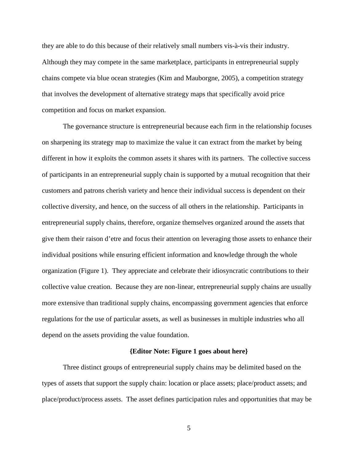they are able to do this because of their relatively small numbers vis-à-vis their industry. Although they may compete in the same marketplace, participants in entrepreneurial supply chains compete via blue ocean strategies (Kim and Mauborgne, 2005), a competition strategy that involves the development of alternative strategy maps that specifically avoid price competition and focus on market expansion.

The governance structure is entrepreneurial because each firm in the relationship focuses on sharpening its strategy map to maximize the value it can extract from the market by being different in how it exploits the common assets it shares with its partners. The collective success of participants in an entrepreneurial supply chain is supported by a mutual recognition that their customers and patrons cherish variety and hence their individual success is dependent on their collective diversity, and hence, on the success of all others in the relationship. Participants in entrepreneurial supply chains, therefore, organize themselves organized around the assets that give them their raison d'etre and focus their attention on leveraging those assets to enhance their individual positions while ensuring efficient information and knowledge through the whole organization (Figure 1). They appreciate and celebrate their idiosyncratic contributions to their collective value creation. Because they are non-linear, entrepreneurial supply chains are usually more extensive than traditional supply chains, encompassing government agencies that enforce regulations for the use of particular assets, as well as businesses in multiple industries who all depend on the assets providing the value foundation.

#### **{Editor Note: Figure 1 goes about here}**

Three distinct groups of entrepreneurial supply chains may be delimited based on the types of assets that support the supply chain: location or place assets; place/product assets; and place/product/process assets. The asset defines participation rules and opportunities that may be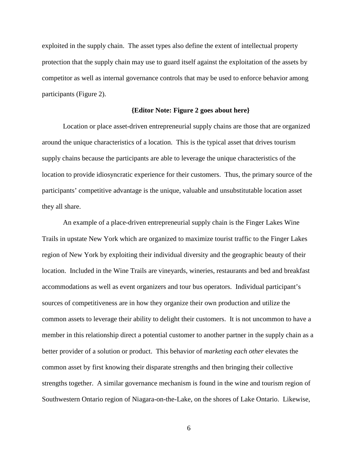exploited in the supply chain. The asset types also define the extent of intellectual property protection that the supply chain may use to guard itself against the exploitation of the assets by competitor as well as internal governance controls that may be used to enforce behavior among participants (Figure 2).

#### **{Editor Note: Figure 2 goes about here}**

Location or place asset-driven entrepreneurial supply chains are those that are organized around the unique characteristics of a location. This is the typical asset that drives tourism supply chains because the participants are able to leverage the unique characteristics of the location to provide idiosyncratic experience for their customers. Thus, the primary source of the participants' competitive advantage is the unique, valuable and unsubstitutable location asset they all share.

An example of a place-driven entrepreneurial supply chain is the Finger Lakes Wine Trails in upstate New York which are organized to maximize tourist traffic to the Finger Lakes region of New York by exploiting their individual diversity and the geographic beauty of their location. Included in the Wine Trails are vineyards, wineries, restaurants and bed and breakfast accommodations as well as event organizers and tour bus operators. Individual participant's sources of competitiveness are in how they organize their own production and utilize the common assets to leverage their ability to delight their customers. It is not uncommon to have a member in this relationship direct a potential customer to another partner in the supply chain as a better provider of a solution or product. This behavior of *marketing each other* elevates the common asset by first knowing their disparate strengths and then bringing their collective strengths together. A similar governance mechanism is found in the wine and tourism region of Southwestern Ontario region of Niagara-on-the-Lake, on the shores of Lake Ontario. Likewise,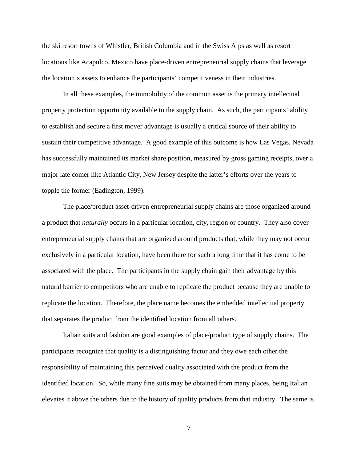the ski resort towns of Whistler, British Columbia and in the Swiss Alps as well as resort locations like Acapulco, Mexico have place-driven entrepreneurial supply chains that leverage the location's assets to enhance the participants' competitiveness in their industries.

In all these examples, the immobility of the common asset is the primary intellectual property protection opportunity available to the supply chain. As such, the participants' ability to establish and secure a first mover advantage is usually a critical source of their ability to sustain their competitive advantage. A good example of this outcome is how Las Vegas, Nevada has successfully maintained its market share position, measured by gross gaming receipts, over a major late comer like Atlantic City, New Jersey despite the latter's efforts over the years to topple the former (Eadington, 1999).

The place/product asset-driven entrepreneurial supply chains are those organized around a product that *naturally* occurs in a particular location, city, region or country. They also cover entrepreneurial supply chains that are organized around products that, while they may not occur exclusively in a particular location, have been there for such a long time that it has come to be associated with the place. The participants in the supply chain gain their advantage by this natural barrier to competitors who are unable to replicate the product because they are unable to replicate the location. Therefore, the place name becomes the embedded intellectual property that separates the product from the identified location from all others.

Italian suits and fashion are good examples of place/product type of supply chains. The participants recognize that quality is a distinguishing factor and they owe each other the responsibility of maintaining this perceived quality associated with the product from the identified location. So, while many fine suits may be obtained from many places, being Italian elevates it above the others due to the history of quality products from that industry. The same is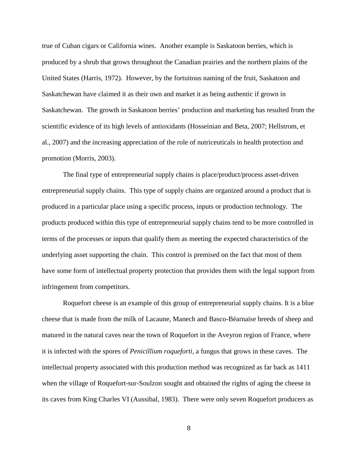true of Cuban cigars or California wines. Another example is Saskatoon berries, which is produced by a shrub that grows throughout the Canadian prairies and the northern plains of the United States (Harris, 1972). However, by the fortuitous naming of the fruit, Saskatoon and Saskatchewan have claimed it as their own and market it as being authentic if grown in Saskatchewan. The growth in Saskatoon berries' production and marketing has resulted from the scientific evidence of its high levels of antioxidants (Hosseinian and Beta, 2007; Hellstrom, et al., 2007) and the increasing appreciation of the role of nutriceuticals in health protection and promotion (Morris, 2003).

The final type of entrepreneurial supply chains is place/product/process asset-driven entrepreneurial supply chains. This type of supply chains are organized around a product that is produced in a particular place using a specific process, inputs or production technology. The products produced within this type of entrepreneurial supply chains tend to be more controlled in terms of the processes or inputs that qualify them as meeting the expected characteristics of the underlying asset supporting the chain. This control is premised on the fact that most of them have some form of intellectual property protection that provides them with the legal support from infringement from competitors.

Roquefort cheese is an example of this group of entrepreneurial supply chains. It is a blue cheese that is made from the milk of Lacaune, Manech and Basco-Béarnaise breeds of sheep and matured in the natural caves near the town of Roquefort in the Aveyron region of France, where it is infected with the spores of *Penicillium roqueforti*, a fungus that grows in these caves. The intellectual property associated with this production method was recognized as far back as 1411 when the village of Roquefort-sur-Soulzon sought and obtained the rights of aging the cheese in its caves from King Charles VI (Aussibal, 1983). There were only seven Roquefort producers as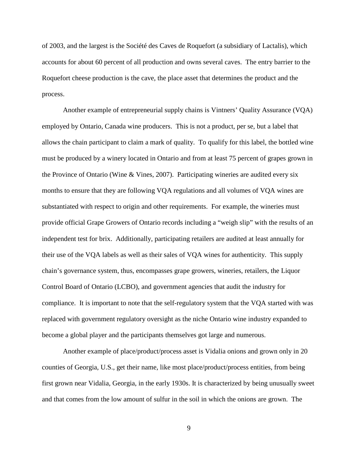of 2003, and the largest is the Société des Caves de Roquefort (a subsidiary of Lactalis), which accounts for about 60 percent of all production and owns several caves. The entry barrier to the Roquefort cheese production is the cave, the place asset that determines the product and the process.

Another example of entrepreneurial supply chains is Vintners' Quality Assurance (VQA) employed by Ontario, Canada wine producers. This is not a product, per se, but a label that allows the chain participant to claim a mark of quality. To qualify for this label, the bottled wine must be produced by a winery located in Ontario and from at least 75 percent of grapes grown in the Province of Ontario (Wine & Vines, 2007). Participating wineries are audited every six months to ensure that they are following VQA regulations and all volumes of VQA wines are substantiated with respect to origin and other requirements. For example, the wineries must provide official Grape Growers of Ontario records including a "weigh slip" with the results of an independent test for brix. Additionally, participating retailers are audited at least annually for their use of the VQA labels as well as their sales of VQA wines for authenticity. This supply chain's governance system, thus, encompasses grape growers, wineries, retailers, the Liquor Control Board of Ontario (LCBO), and government agencies that audit the industry for compliance. It is important to note that the self-regulatory system that the VQA started with was replaced with government regulatory oversight as the niche Ontario wine industry expanded to become a global player and the participants themselves got large and numerous.

Another example of place/product/process asset is Vidalia onions and grown only in 20 counties of Georgia, U.S., get their name, like most place/product/process entities, from being first grown near Vidalia, Georgia, in the early 1930s. It is characterized by being unusually sweet and that comes from the low amount of sulfur in the soil in which the onions are grown. The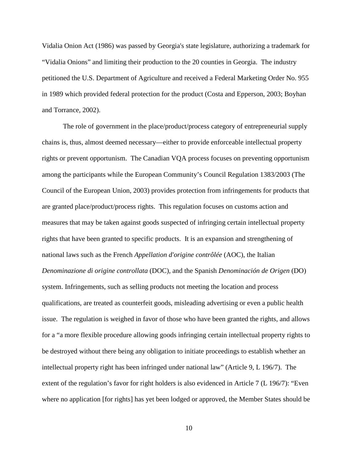Vidalia Onion Act (1986) was passed by Georgia's state legislature, authorizing a trademark for "Vidalia Onions" and limiting their production to the 20 counties in Georgia. The industry petitioned the U.S. Department of Agriculture and received a Federal Marketing Order No. 955 in 1989 which provided federal protection for the product (Costa and Epperson, 2003; Boyhan and Torrance, 2002).

The role of government in the place/product/process category of entrepreneurial supply chains is, thus, almost deemed necessary—either to provide enforceable intellectual property rights or prevent opportunism. The Canadian VQA process focuses on preventing opportunism among the participants while the European Community's Council Regulation 1383/2003 (The Council of the European Union, 2003) provides protection from infringements for products that are granted place/product/process rights. This regulation focuses on customs action and measures that may be taken against goods suspected of infringing certain intellectual property rights that have been granted to specific products. It is an expansion and strengthening of national laws such as the French *Appellation d'origine contrôlée* (AOC), the Italian *Denominazione di origine controllata* (DOC), and the Spanish *Denominación de Origen* (DO) system. Infringements, such as selling products not meeting the location and process qualifications, are treated as counterfeit goods, misleading advertising or even a public health issue. The regulation is weighed in favor of those who have been granted the rights, and allows for a "a more flexible procedure allowing goods infringing certain intellectual property rights to be destroyed without there being any obligation to initiate proceedings to establish whether an intellectual property right has been infringed under national law" (Article 9, L 196/7). The extent of the regulation's favor for right holders is also evidenced in Article 7 (L 196/7): "Even where no application [for rights] has yet been lodged or approved, the Member States should be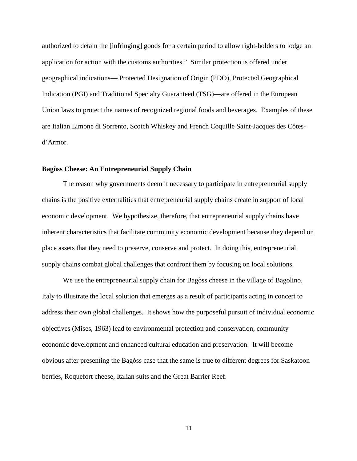authorized to detain the [infringing] goods for a certain period to allow right-holders to lodge an application for action with the customs authorities." Similar protection is offered under geographical indications— Protected Designation of Origin (PDO), Protected Geographical Indication (PGI) and Traditional Specialty Guaranteed (TSG)—are offered in the European Union laws to protect the names of recognized regional foods and beverages. Examples of these are Italian Limone di Sorrento, Scotch Whiskey and French Coquille Saint-Jacques des Côtesd'Armor.

#### **Bagòss Cheese: An Entrepreneurial Supply Chain**

The reason why governments deem it necessary to participate in entrepreneurial supply chains is the positive externalities that entrepreneurial supply chains create in support of local economic development. We hypothesize, therefore, that entrepreneurial supply chains have inherent characteristics that facilitate community economic development because they depend on place assets that they need to preserve, conserve and protect. In doing this, entrepreneurial supply chains combat global challenges that confront them by focusing on local solutions.

We use the entrepreneurial supply chain for Bagòss cheese in the village of Bagolino, Italy to illustrate the local solution that emerges as a result of participants acting in concert to address their own global challenges. It shows how the purposeful pursuit of individual economic objectives (Mises, 1963) lead to environmental protection and conservation, community economic development and enhanced cultural education and preservation. It will become obvious after presenting the Bagòss case that the same is true to different degrees for Saskatoon berries, Roquefort cheese, Italian suits and the Great Barrier Reef.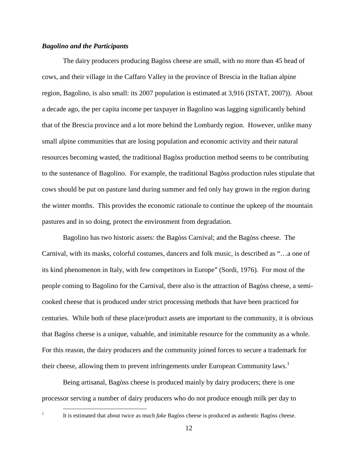#### *Bagolino and the Participants*

The dairy producers producing Bagòss cheese are small, with no more than 45 head of cows, and their village in the Caffaro Valley in the province of Brescia in the Italian alpine region, Bagolino, is also small: its 2007 population is estimated at 3,916 (ISTAT, 2007)). About a decade ago, the per capita income per taxpayer in Bagolino was lagging significantly behind that of the Brescia province and a lot more behind the Lombardy region. However, unlike many small alpine communities that are losing population and economic activity and their natural resources becoming wasted, the traditional Bagòss production method seems to be contributing to the sustenance of Bagolino. For example, the traditional Bagòss production rules stipulate that cows should be put on pasture land during summer and fed only hay grown in the region during the winter months. This provides the economic rationale to continue the upkeep of the mountain pastures and in so doing, protect the environment from degradation.

Bagolino has two historic assets: the Bagòss Carnival; and the Bagòss cheese. The Carnival, with its masks, colorful costumes, dancers and folk music, is described as "…a one of its kind phenomenon in Italy, with few competitors in Europe" (Sordi, 1976). For most of the people coming to Bagolino for the Carnival, there also is the attraction of Bagòss cheese, a semicooked cheese that is produced under strict processing methods that have been practiced for centuries. While both of these place/product assets are important to the community, it is obvious that Bagòss cheese is a unique, valuable, and inimitable resource for the community as a whole. For this reason, the dairy producers and the community joined forces to secure a trademark for their cheese, allowing them to prevent infringements under European Community laws.<sup>1</sup>

Being artisanal, Bagòss cheese is produced mainly by dairy producers; there is one processor serving a number of dairy producers who do not produce enough milk per day to

1

<u>.</u>

It is estimated that about twice as much *fake* Bagòss cheese is produced as authentic Bagòss cheese.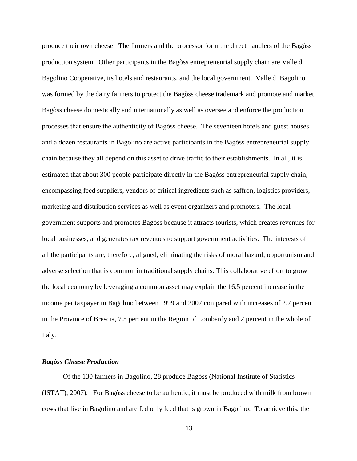produce their own cheese. The farmers and the processor form the direct handlers of the Bagòss production system. Other participants in the Bagòss entrepreneurial supply chain are Valle di Bagolino Cooperative, its hotels and restaurants, and the local government. Valle di Bagolino was formed by the dairy farmers to protect the Bagòss cheese trademark and promote and market Bagòss cheese domestically and internationally as well as oversee and enforce the production processes that ensure the authenticity of Bagòss cheese. The seventeen hotels and guest houses and a dozen restaurants in Bagolino are active participants in the Bagòss entrepreneurial supply chain because they all depend on this asset to drive traffic to their establishments. In all, it is estimated that about 300 people participate directly in the Bagòss entrepreneurial supply chain, encompassing feed suppliers, vendors of critical ingredients such as saffron, logistics providers, marketing and distribution services as well as event organizers and promoters. The local government supports and promotes Bagòss because it attracts tourists, which creates revenues for local businesses, and generates tax revenues to support government activities. The interests of all the participants are, therefore, aligned, eliminating the risks of moral hazard, opportunism and adverse selection that is common in traditional supply chains. This collaborative effort to grow the local economy by leveraging a common asset may explain the 16.5 percent increase in the income per taxpayer in Bagolino between 1999 and 2007 compared with increases of 2.7 percent in the Province of Brescia, 7.5 percent in the Region of Lombardy and 2 percent in the whole of Italy.

#### *Bagòss Cheese Production*

Of the 130 farmers in Bagolino, 28 produce Bagòss (National Institute of Statistics (ISTAT), 2007). For Bagòss cheese to be authentic, it must be produced with milk from brown cows that live in Bagolino and are fed only feed that is grown in Bagolino. To achieve this, the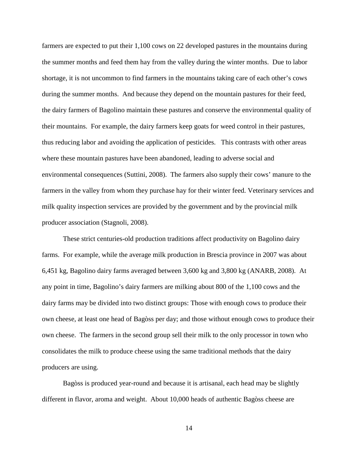farmers are expected to put their 1,100 cows on 22 developed pastures in the mountains during the summer months and feed them hay from the valley during the winter months. Due to labor shortage, it is not uncommon to find farmers in the mountains taking care of each other's cows during the summer months. And because they depend on the mountain pastures for their feed, the dairy farmers of Bagolino maintain these pastures and conserve the environmental quality of their mountains. For example, the dairy farmers keep goats for weed control in their pastures, thus reducing labor and avoiding the application of pesticides. This contrasts with other areas where these mountain pastures have been abandoned, leading to adverse social and environmental consequences (Suttini, 2008). The farmers also supply their cows' manure to the farmers in the valley from whom they purchase hay for their winter feed. Veterinary services and milk quality inspection services are provided by the government and by the provincial milk producer association (Stagnoli, 2008).

These strict centuries-old production traditions affect productivity on Bagolino dairy farms. For example, while the average milk production in Brescia province in 2007 was about 6,451 kg, Bagolino dairy farms averaged between 3,600 kg and 3,800 kg (ANARB, 2008). At any point in time, Bagolino's dairy farmers are milking about 800 of the 1,100 cows and the dairy farms may be divided into two distinct groups: Those with enough cows to produce their own cheese, at least one head of Bagòss per day; and those without enough cows to produce their own cheese. The farmers in the second group sell their milk to the only processor in town who consolidates the milk to produce cheese using the same traditional methods that the dairy producers are using.

Bagòss is produced year-round and because it is artisanal, each head may be slightly different in flavor, aroma and weight. About 10,000 heads of authentic Bagòss cheese are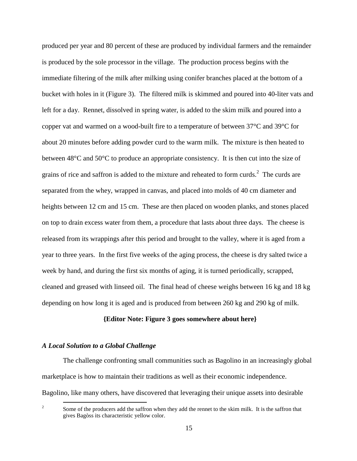produced per year and 80 percent of these are produced by individual farmers and the remainder is produced by the sole processor in the village. The production process begins with the immediate filtering of the milk after milking using conifer branches placed at the bottom of a bucket with holes in it (Figure 3). The filtered milk is skimmed and poured into 40-liter vats and left for a day. Rennet, dissolved in spring water, is added to the skim milk and poured into a copper vat and warmed on a wood-built fire to a temperature of between 37°C and 39°C for about 20 minutes before adding powder curd to the warm milk. The mixture is then heated to between 48°C and 50°C to produce an appropriate consistency. It is then cut into the size of grains of rice and saffron is added to the mixture and reheated to form curds.<sup>2</sup> The curds are separated from the whey, wrapped in canvas, and placed into molds of 40 cm diameter and heights between 12 cm and 15 cm. These are then placed on wooden planks, and stones placed on top to drain excess water from them, a procedure that lasts about three days. The cheese is released from its wrappings after this period and brought to the valley, where it is aged from a year to three years. In the first five weeks of the aging process, the cheese is dry salted twice a week by hand, and during the first six months of aging, it is turned periodically, scrapped, cleaned and greased with linseed oil. The final head of cheese weighs between 16 kg and 18 kg depending on how long it is aged and is produced from between 260 kg and 290 kg of milk.

#### **{Editor Note: Figure 3 goes somewhere about here}**

#### *A Local Solution to a Global Challenge*

<u>.</u>

The challenge confronting small communities such as Bagolino in an increasingly global marketplace is how to maintain their traditions as well as their economic independence.

Bagolino, like many others, have discovered that leveraging their unique assets into desirable

<sup>2</sup> Some of the producers add the saffron when they add the rennet to the skim milk. It is the saffron that gives Bagòss its characteristic yellow color.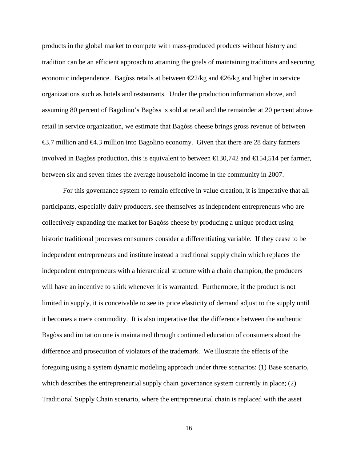products in the global market to compete with mass-produced products without history and tradition can be an efficient approach to attaining the goals of maintaining traditions and securing economic independence. Bagòss retails at between  $\epsilon 2/2$ /kg and  $\epsilon 26$ /kg and higher in service organizations such as hotels and restaurants. Under the production information above, and assuming 80 percent of Bagolino's Bagòss is sold at retail and the remainder at 20 percent above retail in service organization, we estimate that Bagòss cheese brings gross revenue of between €3.7 million and €4.3 million into Bagolino economy Given that there are 28 dairy farmers involved in Bagòss production, this is equivalent to between €130,742 and €154,514 per farmer, between six and seven times the average household income in the community in 2007.

For this governance system to remain effective in value creation, it is imperative that all participants, especially dairy producers, see themselves as independent entrepreneurs who are collectively expanding the market for Bagòss cheese by producing a unique product using historic traditional processes consumers consider a differentiating variable. If they cease to be independent entrepreneurs and institute instead a traditional supply chain which replaces the independent entrepreneurs with a hierarchical structure with a chain champion, the producers will have an incentive to shirk whenever it is warranted. Furthermore, if the product is not limited in supply, it is conceivable to see its price elasticity of demand adjust to the supply until it becomes a mere commodity. It is also imperative that the difference between the authentic Bagòss and imitation one is maintained through continued education of consumers about the difference and prosecution of violators of the trademark. We illustrate the effects of the foregoing using a system dynamic modeling approach under three scenarios: (1) Base scenario, which describes the entrepreneurial supply chain governance system currently in place; (2) Traditional Supply Chain scenario, where the entrepreneurial chain is replaced with the asset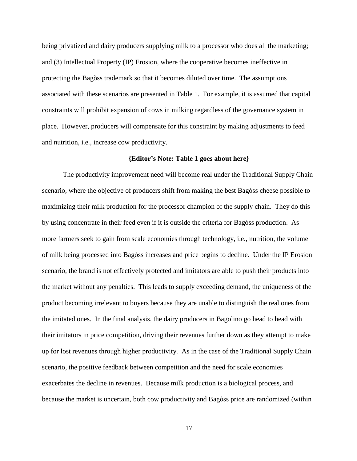being privatized and dairy producers supplying milk to a processor who does all the marketing; and (3) Intellectual Property (IP) Erosion, where the cooperative becomes ineffective in protecting the Bagòss trademark so that it becomes diluted over time. The assumptions associated with these scenarios are presented in Table 1. For example, it is assumed that capital constraints will prohibit expansion of cows in milking regardless of the governance system in place. However, producers will compensate for this constraint by making adjustments to feed and nutrition, i.e., increase cow productivity.

#### **{Editor's Note: Table 1 goes about here}**

The productivity improvement need will become real under the Traditional Supply Chain scenario, where the objective of producers shift from making the best Bagòss cheese possible to maximizing their milk production for the processor champion of the supply chain. They do this by using concentrate in their feed even if it is outside the criteria for Bagòss production. As more farmers seek to gain from scale economies through technology, i.e., nutrition, the volume of milk being processed into Bagòss increases and price begins to decline. Under the IP Erosion scenario, the brand is not effectively protected and imitators are able to push their products into the market without any penalties. This leads to supply exceeding demand, the uniqueness of the product becoming irrelevant to buyers because they are unable to distinguish the real ones from the imitated ones. In the final analysis, the dairy producers in Bagolino go head to head with their imitators in price competition, driving their revenues further down as they attempt to make up for lost revenues through higher productivity. As in the case of the Traditional Supply Chain scenario, the positive feedback between competition and the need for scale economies exacerbates the decline in revenues. Because milk production is a biological process, and because the market is uncertain, both cow productivity and Bagòss price are randomized (within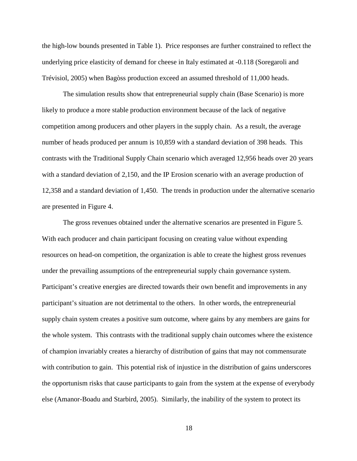the high-low bounds presented in Table 1). Price responses are further constrained to reflect the underlying price elasticity of demand for cheese in Italy estimated at -0.118 (Soregaroli and Trévisiol, 2005) when Bagòss production exceed an assumed threshold of 11,000 heads.

The simulation results show that entrepreneurial supply chain (Base Scenario) is more likely to produce a more stable production environment because of the lack of negative competition among producers and other players in the supply chain. As a result, the average number of heads produced per annum is 10,859 with a standard deviation of 398 heads. This contrasts with the Traditional Supply Chain scenario which averaged 12,956 heads over 20 years with a standard deviation of 2,150, and the IP Erosion scenario with an average production of 12,358 and a standard deviation of 1,450. The trends in production under the alternative scenario are presented in Figure 4.

The gross revenues obtained under the alternative scenarios are presented in Figure 5. With each producer and chain participant focusing on creating value without expending resources on head-on competition, the organization is able to create the highest gross revenues under the prevailing assumptions of the entrepreneurial supply chain governance system. Participant's creative energies are directed towards their own benefit and improvements in any participant's situation are not detrimental to the others. In other words, the entrepreneurial supply chain system creates a positive sum outcome, where gains by any members are gains for the whole system. This contrasts with the traditional supply chain outcomes where the existence of champion invariably creates a hierarchy of distribution of gains that may not commensurate with contribution to gain. This potential risk of injustice in the distribution of gains underscores the opportunism risks that cause participants to gain from the system at the expense of everybody else (Amanor-Boadu and Starbird, 2005). Similarly, the inability of the system to protect its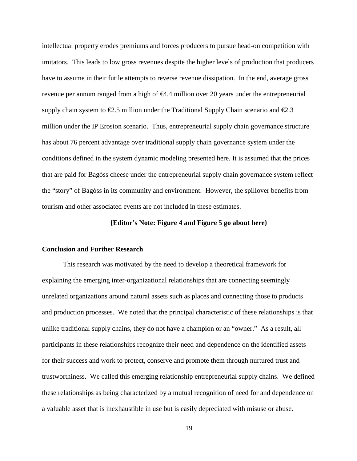intellectual property erodes premiums and forces producers to pursue head-on competition with imitators. This leads to low gross revenues despite the higher levels of production that producers have to assume in their futile attempts to reverse revenue dissipation. In the end, average gross revenue per annum ranged from a high of  $\epsilon$ 4.4 million over 20 years under the entrepreneurial supply chain system to  $\epsilon$ 2.5 million under the Traditional Supply Chain scenario and  $\epsilon$ 2.3 million under the IP Erosion scenario. Thus, entrepreneurial supply chain governance structure has about 76 percent advantage over traditional supply chain governance system under the conditions defined in the system dynamic modeling presented here. It is assumed that the prices that are paid for Bagòss cheese under the entrepreneurial supply chain governance system reflect the "story" of Bagòss in its community and environment. However, the spillover benefits from tourism and other associated events are not included in these estimates.

#### **{Editor's Note: Figure 4 and Figure 5 go about here}**

#### **Conclusion and Further Research**

This research was motivated by the need to develop a theoretical framework for explaining the emerging inter-organizational relationships that are connecting seemingly unrelated organizations around natural assets such as places and connecting those to products and production processes. We noted that the principal characteristic of these relationships is that unlike traditional supply chains, they do not have a champion or an "owner." As a result, all participants in these relationships recognize their need and dependence on the identified assets for their success and work to protect, conserve and promote them through nurtured trust and trustworthiness. We called this emerging relationship entrepreneurial supply chains. We defined these relationships as being characterized by a mutual recognition of need for and dependence on a valuable asset that is inexhaustible in use but is easily depreciated with misuse or abuse.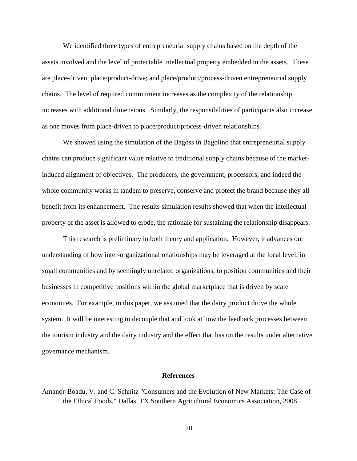We identified three types of entrepreneurial supply chains based on the depth of the assets involved and the level of protectable intellectual property embedded in the assets. These are place-driven; place/product-drive; and place/product/process-driven entrepreneurial supply chains. The level of required commitment increases as the complexity of the relationship increases with additional dimensions. Similarly, the responsibilities of participants also increase as one moves from place-driven to place/product/process-driven relationships.

We showed using the simulation of the Bagòss in Bagolino that entrepreneurial supply chains can produce significant value relative to traditional supply chains because of the marketinduced alignment of objectives. The producers, the government, processors, and indeed the whole community works in tandem to preserve, conserve and protect the brand because they all benefit from its enhancement. The results simulation results showed that when the intellectual property of the asset is allowed to erode, the rationale for sustaining the relationship disappears.

This research is preliminary in both theory and application. However, it advances our understanding of how inter-organizational relationships may be leveraged at the local level, in small communities and by seemingly unrelated organizations, to position communities and their businesses in competitive positions within the global marketplace that is driven by scale economies. For example, in this paper, we assumed that the dairy product drove the whole system. It will be interesting to decouple that and look at how the feedback processes between the tourism industry and the dairy industry and the effect that has on the results under alternative governance mechanism.

#### **References**

Amanor-Boadu, V. and C. Schnitz "Consumers and the Evolution of New Markets: The Case of the Ethical Foods," Dallas, TX Southern Agricultural Economics Association, 2008.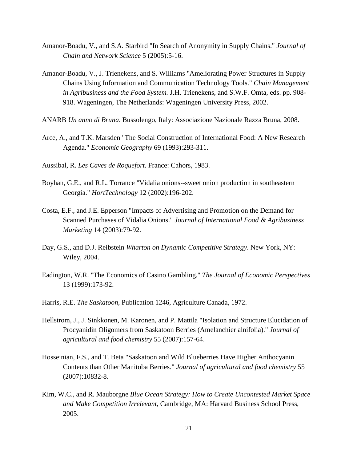- Amanor-Boadu, V., and S.A. Starbird "In Search of Anonymity in Supply Chains." *Journal of Chain and Network Science* 5 (2005):5-16.
- Amanor-Boadu, V., J. Trienekens, and S. Williams "Ameliorating Power Structures in Supply Chains Using Information and Communication Technology Tools." *Chain Management in Agribusiness and the Food System.* J.H. Trienekens, and S.W.F. Omta, eds. pp. 908- 918. Wageningen, The Netherlands: Wageningen University Press, 2002.
- ANARB *Un anno di Bruna*. Bussolengo, Italy: Associazione Nazionale Razza Bruna, 2008.
- Arce, A., and T.K. Marsden "The Social Construction of International Food: A New Research Agenda." *Economic Geography* 69 (1993):293-311.
- Aussibal, R. *Les Caves de Roquefort*. France: Cahors, 1983.
- Boyhan, G.E., and R.L. Torrance "Vidalia onions--sweet onion production in southeastern Georgia." *HortTechnology* 12 (2002):196-202.
- Costa, E.F., and J.E. Epperson "Impacts of Advertising and Promotion on the Demand for Scanned Purchases of Vidalia Onions." *Journal of International Food & Agribusiness Marketing* 14 (2003):79-92.
- Day, G.S., and D.J. Reibstein *Wharton on Dynamic Competitive Strategy*. New York, NY: Wiley, 2004.
- Eadington, W.R. "The Economics of Casino Gambling." *The Journal of Economic Perspectives*  13 (1999):173-92.
- Harris, R.E. *The Saskatoon*, Publication 1246, Agriculture Canada, 1972.
- Hellstrom, J., J. Sinkkonen, M. Karonen, and P. Mattila "Isolation and Structure Elucidation of Procyanidin Oligomers from Saskatoon Berries (Amelanchier alnifolia)." *Journal of agricultural and food chemistry* 55 (2007):157-64.
- Hosseinian, F.S., and T. Beta "Saskatoon and Wild Blueberries Have Higher Anthocyanin Contents than Other Manitoba Berries." *Journal of agricultural and food chemistry* 55 (2007):10832-8.
- Kim, W.C., and R. Mauborgne *Blue Ocean Strategy: How to Create Uncontested Market Space and Make Competition Irrelevant*, Cambridge, MA: Harvard Business School Press, 2005.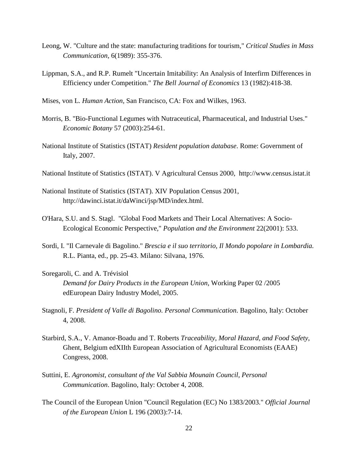- Leong, W. "Culture and the state: manufacturing traditions for tourism," *Critical Studies in Mass Communication,* 6(1989): 355-376.
- Lippman, S.A., and R.P. Rumelt "Uncertain Imitability: An Analysis of Interfirm Differences in Efficiency under Competition." *The Bell Journal of Economics* 13 (1982):418-38.
- Mises, von L. *Human Action,* San Francisco, CA: Fox and Wilkes, 1963.
- Morris, B. "Bio-Functional Legumes with Nutraceutical, Pharmaceutical, and Industrial Uses." *Economic Botany* 57 (2003):254-61.
- National Institute of Statistics (ISTAT) *Resident population database*. Rome: Government of Italy, 2007.
- National Institute of Statistics (ISTAT). V Agricultural Census 2000, http://www.census.istat.it
- National Institute of Statistics (ISTAT). XIV Population Census 2001, http://dawinci.istat.it/daWinci/jsp/MD/index.html.
- O'Hara, S.U. and S. Stagl. "Global Food Markets and Their Local Alternatives: A Socio-Ecological Economic Perspective*,*" *Population and the Environment* 22(2001): 533.
- Sordi, I. "Il Carnevale di Bagolino." *Brescia e il suo territorio, Il Mondo popolare in Lombardia.*  R.L. Pianta, ed., pp. 25-43. Milano: Silvana, 1976.
- Soregaroli, C. and A. Trévisiol *Demand for Dairy Products in the European Union*, Working Paper 02 /2005 edEuropean Dairy Industry Model, 2005.
- Stagnoli, F. *President of Valle di Bagolino. Personal Communication*. Bagolino, Italy: October 4, 2008.
- Starbird, S.A., V. Amanor-Boadu and T. Roberts *Traceability, Moral Hazard, and Food Safety*, Ghent, Belgium edXIIth European Association of Agricultural Economists (EAAE) Congress, 2008.
- Suttini, E. *Agronomist, consultant of the Val Sabbia Mounain Council, Personal Communication*. Bagolino, Italy: October 4, 2008.
- The Council of the European Union "Council Regulation (EC) No 1383/2003." *Official Journal of the European Union* L 196 (2003):7-14.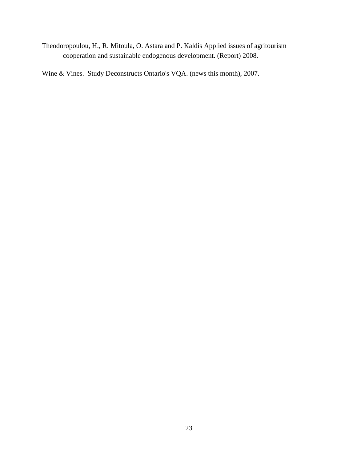Theodoropoulou, H., R. Mitoula, O. Astara and P. Kaldis Applied issues of agritourism cooperation and sustainable endogenous development. (Report) 2008.

Wine & Vines. Study Deconstructs Ontario's VQA. (news this month), 2007.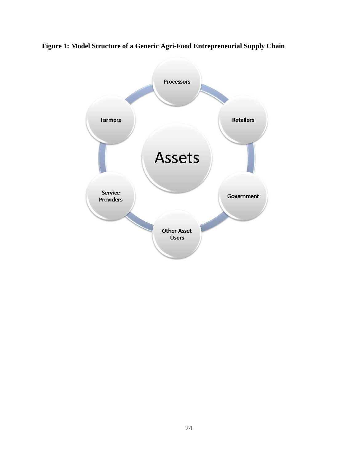

**Figure 1: Model Structure of a Generic Agri-Food Entrepreneurial Supply Chain**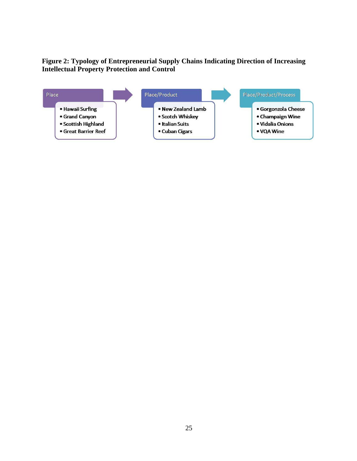### **Figure 2: Typology of Entrepreneurial Supply Chains Indicating Direction of Increasing Intellectual Property Protection and Control**

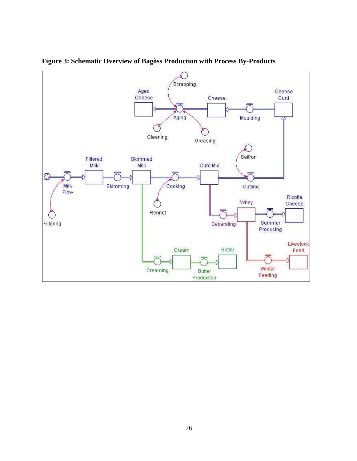

**Figure 3: Schematic Overview of Bagòss Production with Process By-Products**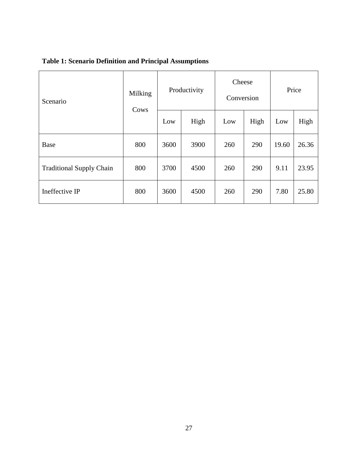## **Table 1: Scenario Definition and Principal Assumptions**

| Scenario                        | Milking<br>Cows | Productivity |      | Cheese<br>Conversion |      | Price |       |
|---------------------------------|-----------------|--------------|------|----------------------|------|-------|-------|
|                                 |                 | Low          | High | Low                  | High | Low   | High  |
| <b>Base</b>                     | 800             | 3600         | 3900 | 260                  | 290  | 19.60 | 26.36 |
| <b>Traditional Supply Chain</b> | 800             | 3700         | 4500 | 260                  | 290  | 9.11  | 23.95 |
| Ineffective IP                  | 800             | 3600         | 4500 | 260                  | 290  | 7.80  | 25.80 |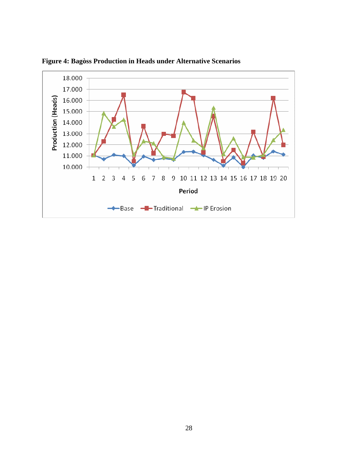

**Figure 4: Bagòss Production in Heads under Alternative Scenarios**